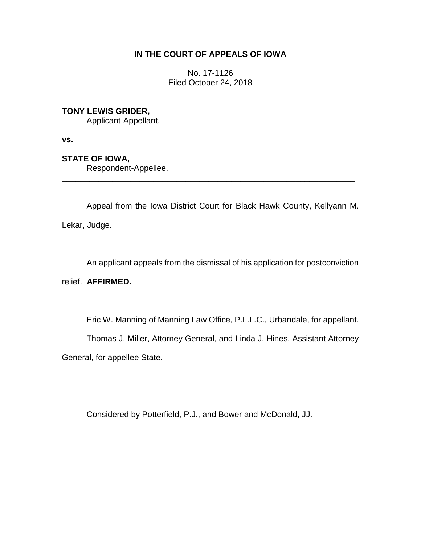# **IN THE COURT OF APPEALS OF IOWA**

No. 17-1126 Filed October 24, 2018

## **TONY LEWIS GRIDER,**

Applicant-Appellant,

**vs.**

# **STATE OF IOWA,**

Respondent-Appellee.

Appeal from the Iowa District Court for Black Hawk County, Kellyann M. Lekar, Judge.

\_\_\_\_\_\_\_\_\_\_\_\_\_\_\_\_\_\_\_\_\_\_\_\_\_\_\_\_\_\_\_\_\_\_\_\_\_\_\_\_\_\_\_\_\_\_\_\_\_\_\_\_\_\_\_\_\_\_\_\_\_\_\_\_

An applicant appeals from the dismissal of his application for postconviction

### relief. **AFFIRMED.**

Eric W. Manning of Manning Law Office, P.L.L.C., Urbandale, for appellant.

Thomas J. Miller, Attorney General, and Linda J. Hines, Assistant Attorney

General, for appellee State.

Considered by Potterfield, P.J., and Bower and McDonald, JJ.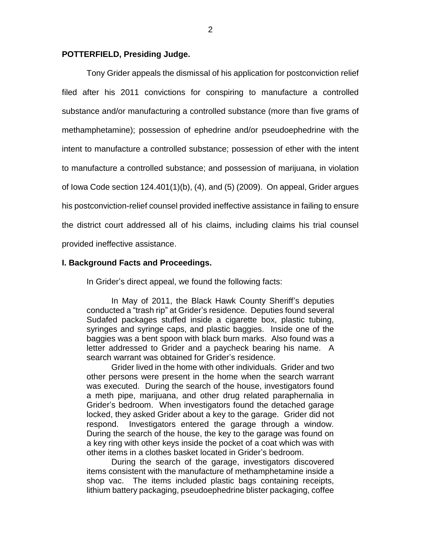### **POTTERFIELD, Presiding Judge.**

Tony Grider appeals the dismissal of his application for postconviction relief filed after his 2011 convictions for conspiring to manufacture a controlled substance and/or manufacturing a controlled substance (more than five grams of methamphetamine); possession of ephedrine and/or pseudoephedrine with the intent to manufacture a controlled substance; possession of ether with the intent to manufacture a controlled substance; and possession of marijuana, in violation of Iowa Code section 124.401(1)(b), (4), and (5) (2009). On appeal, Grider argues his postconviction-relief counsel provided ineffective assistance in failing to ensure the district court addressed all of his claims, including claims his trial counsel provided ineffective assistance.

### **I. Background Facts and Proceedings.**

In Grider's direct appeal, we found the following facts:

In May of 2011, the Black Hawk County Sheriff's deputies conducted a "trash rip" at Grider's residence. Deputies found several Sudafed packages stuffed inside a cigarette box, plastic tubing, syringes and syringe caps, and plastic baggies. Inside one of the baggies was a bent spoon with black burn marks. Also found was a letter addressed to Grider and a paycheck bearing his name. A search warrant was obtained for Grider's residence.

Grider lived in the home with other individuals. Grider and two other persons were present in the home when the search warrant was executed. During the search of the house, investigators found a meth pipe, marijuana, and other drug related paraphernalia in Grider's bedroom. When investigators found the detached garage locked, they asked Grider about a key to the garage. Grider did not respond. Investigators entered the garage through a window. During the search of the house, the key to the garage was found on a key ring with other keys inside the pocket of a coat which was with other items in a clothes basket located in Grider's bedroom.

During the search of the garage, investigators discovered items consistent with the manufacture of methamphetamine inside a shop vac. The items included plastic bags containing receipts, lithium battery packaging, pseudoephedrine blister packaging, coffee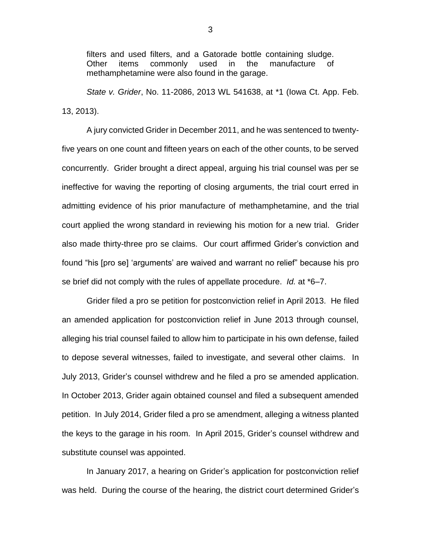filters and used filters, and a Gatorade bottle containing sludge. Other items commonly used in the manufacture of methamphetamine were also found in the garage.

*State v. Grider*, No. 11-2086, 2013 WL 541638, at \*1 (Iowa Ct. App. Feb. 13, 2013).

A jury convicted Grider in December 2011, and he was sentenced to twentyfive years on one count and fifteen years on each of the other counts, to be served concurrently. Grider brought a direct appeal, arguing his trial counsel was per se ineffective for waving the reporting of closing arguments, the trial court erred in admitting evidence of his prior manufacture of methamphetamine, and the trial court applied the wrong standard in reviewing his motion for a new trial. Grider also made thirty-three pro se claims. Our court affirmed Grider's conviction and found "his [pro se] 'arguments' are waived and warrant no relief" because his pro se brief did not comply with the rules of appellate procedure. *Id.* at \*6–7.

Grider filed a pro se petition for postconviction relief in April 2013. He filed an amended application for postconviction relief in June 2013 through counsel, alleging his trial counsel failed to allow him to participate in his own defense, failed to depose several witnesses, failed to investigate, and several other claims. In July 2013, Grider's counsel withdrew and he filed a pro se amended application. In October 2013, Grider again obtained counsel and filed a subsequent amended petition. In July 2014, Grider filed a pro se amendment, alleging a witness planted the keys to the garage in his room. In April 2015, Grider's counsel withdrew and substitute counsel was appointed.

In January 2017, a hearing on Grider's application for postconviction relief was held. During the course of the hearing, the district court determined Grider's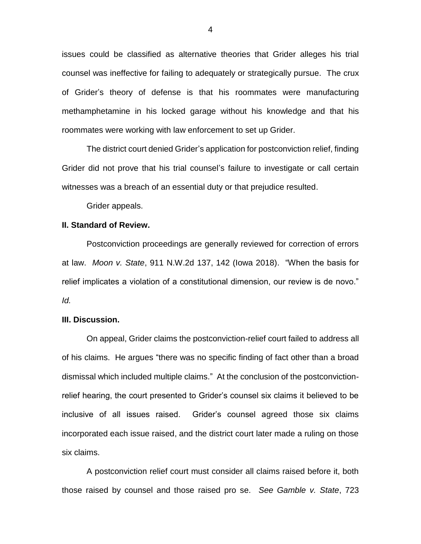issues could be classified as alternative theories that Grider alleges his trial counsel was ineffective for failing to adequately or strategically pursue. The crux of Grider's theory of defense is that his roommates were manufacturing methamphetamine in his locked garage without his knowledge and that his roommates were working with law enforcement to set up Grider.

The district court denied Grider's application for postconviction relief, finding Grider did not prove that his trial counsel's failure to investigate or call certain witnesses was a breach of an essential duty or that prejudice resulted.

Grider appeals.

## **II. Standard of Review.**

Postconviction proceedings are generally reviewed for correction of errors at law. *Moon v. State*, 911 N.W.2d 137, 142 (Iowa 2018). "When the basis for relief implicates a violation of a constitutional dimension, our review is de novo." *Id.* 

#### **III. Discussion.**

On appeal, Grider claims the postconviction-relief court failed to address all of his claims. He argues "there was no specific finding of fact other than a broad dismissal which included multiple claims." At the conclusion of the postconvictionrelief hearing, the court presented to Grider's counsel six claims it believed to be inclusive of all issues raised. Grider's counsel agreed those six claims incorporated each issue raised, and the district court later made a ruling on those six claims.

A postconviction relief court must consider all claims raised before it, both those raised by counsel and those raised pro se. *See Gamble v. State*, 723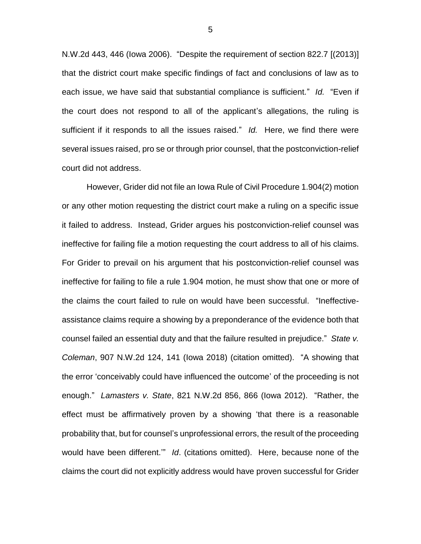N.W.2d 443, 446 (Iowa 2006). "Despite the requirement of section 822.7 [(2013)] that the district court make specific findings of fact and conclusions of law as to each issue, we have said that substantial compliance is sufficient." *Id.* "Even if the court does not respond to all of the applicant's allegations, the ruling is sufficient if it responds to all the issues raised." *Id.* Here, we find there were several issues raised, pro se or through prior counsel, that the postconviction-relief court did not address.

However, Grider did not file an Iowa Rule of Civil Procedure 1.904(2) motion or any other motion requesting the district court make a ruling on a specific issue it failed to address. Instead, Grider argues his postconviction-relief counsel was ineffective for failing file a motion requesting the court address to all of his claims. For Grider to prevail on his argument that his postconviction-relief counsel was ineffective for failing to file a rule 1.904 motion, he must show that one or more of the claims the court failed to rule on would have been successful. "Ineffectiveassistance claims require a showing by a preponderance of the evidence both that counsel failed an essential duty and that the failure resulted in prejudice." *State v. Coleman*, 907 N.W.2d 124, 141 (Iowa 2018) (citation omitted). "A showing that the error 'conceivably could have influenced the outcome' of the proceeding is not enough." *Lamasters v. State*, 821 N.W.2d 856, 866 (Iowa 2012). "Rather, the effect must be affirmatively proven by a showing 'that there is a reasonable probability that, but for counsel's unprofessional errors, the result of the proceeding would have been different.'" *Id*. (citations omitted). Here, because none of the claims the court did not explicitly address would have proven successful for Grider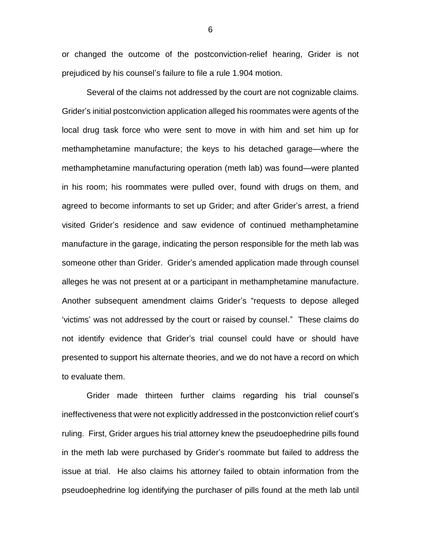or changed the outcome of the postconviction-relief hearing, Grider is not prejudiced by his counsel's failure to file a rule 1.904 motion.

Several of the claims not addressed by the court are not cognizable claims. Grider's initial postconviction application alleged his roommates were agents of the local drug task force who were sent to move in with him and set him up for methamphetamine manufacture; the keys to his detached garage—where the methamphetamine manufacturing operation (meth lab) was found—were planted in his room; his roommates were pulled over, found with drugs on them, and agreed to become informants to set up Grider; and after Grider's arrest, a friend visited Grider's residence and saw evidence of continued methamphetamine manufacture in the garage, indicating the person responsible for the meth lab was someone other than Grider. Grider's amended application made through counsel alleges he was not present at or a participant in methamphetamine manufacture. Another subsequent amendment claims Grider's "requests to depose alleged 'victims' was not addressed by the court or raised by counsel." These claims do not identify evidence that Grider's trial counsel could have or should have presented to support his alternate theories, and we do not have a record on which to evaluate them.

Grider made thirteen further claims regarding his trial counsel's ineffectiveness that were not explicitly addressed in the postconviction relief court's ruling. First, Grider argues his trial attorney knew the pseudoephedrine pills found in the meth lab were purchased by Grider's roommate but failed to address the issue at trial. He also claims his attorney failed to obtain information from the pseudoephedrine log identifying the purchaser of pills found at the meth lab until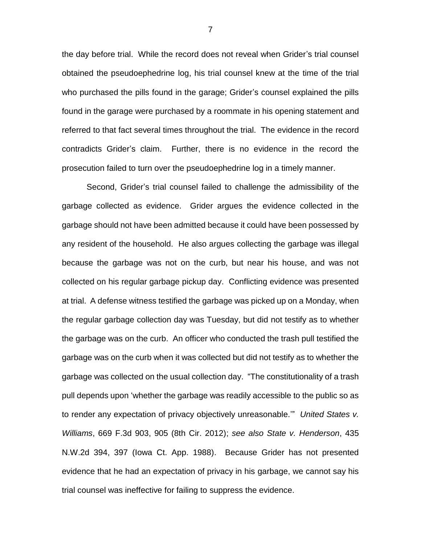the day before trial. While the record does not reveal when Grider's trial counsel obtained the pseudoephedrine log, his trial counsel knew at the time of the trial who purchased the pills found in the garage; Grider's counsel explained the pills found in the garage were purchased by a roommate in his opening statement and referred to that fact several times throughout the trial. The evidence in the record contradicts Grider's claim. Further, there is no evidence in the record the prosecution failed to turn over the pseudoephedrine log in a timely manner.

Second, Grider's trial counsel failed to challenge the admissibility of the garbage collected as evidence. Grider argues the evidence collected in the garbage should not have been admitted because it could have been possessed by any resident of the household. He also argues collecting the garbage was illegal because the garbage was not on the curb, but near his house, and was not collected on his regular garbage pickup day. Conflicting evidence was presented at trial. A defense witness testified the garbage was picked up on a Monday, when the regular garbage collection day was Tuesday, but did not testify as to whether the garbage was on the curb. An officer who conducted the trash pull testified the garbage was on the curb when it was collected but did not testify as to whether the garbage was collected on the usual collection day. "The constitutionality of a trash pull depends upon 'whether the garbage was readily accessible to the public so as to render any expectation of privacy objectively unreasonable.'" *United States v. Williams*, 669 F.3d 903, 905 (8th Cir. 2012); *see also State v. Henderson*, 435 N.W.2d 394, 397 (Iowa Ct. App. 1988). Because Grider has not presented evidence that he had an expectation of privacy in his garbage, we cannot say his trial counsel was ineffective for failing to suppress the evidence.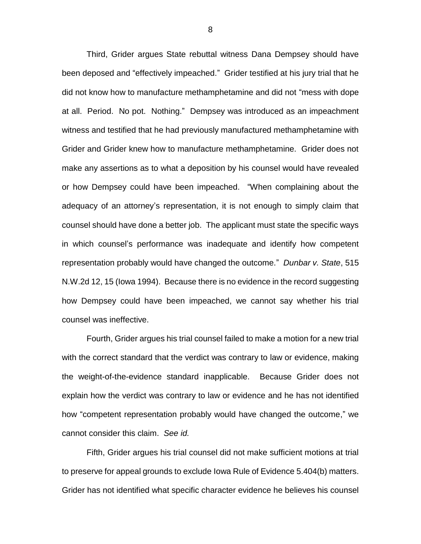Third, Grider argues State rebuttal witness Dana Dempsey should have been deposed and "effectively impeached." Grider testified at his jury trial that he did not know how to manufacture methamphetamine and did not "mess with dope at all. Period. No pot. Nothing." Dempsey was introduced as an impeachment witness and testified that he had previously manufactured methamphetamine with Grider and Grider knew how to manufacture methamphetamine. Grider does not make any assertions as to what a deposition by his counsel would have revealed or how Dempsey could have been impeached. "When complaining about the adequacy of an attorney's representation, it is not enough to simply claim that counsel should have done a better job. The applicant must state the specific ways in which counsel's performance was inadequate and identify how competent representation probably would have changed the outcome." *Dunbar v. State*, 515 N.W.2d 12, 15 (Iowa 1994). Because there is no evidence in the record suggesting how Dempsey could have been impeached, we cannot say whether his trial counsel was ineffective.

Fourth, Grider argues his trial counsel failed to make a motion for a new trial with the correct standard that the verdict was contrary to law or evidence, making the weight-of-the-evidence standard inapplicable. Because Grider does not explain how the verdict was contrary to law or evidence and he has not identified how "competent representation probably would have changed the outcome," we cannot consider this claim. *See id.* 

Fifth, Grider argues his trial counsel did not make sufficient motions at trial to preserve for appeal grounds to exclude Iowa Rule of Evidence 5.404(b) matters. Grider has not identified what specific character evidence he believes his counsel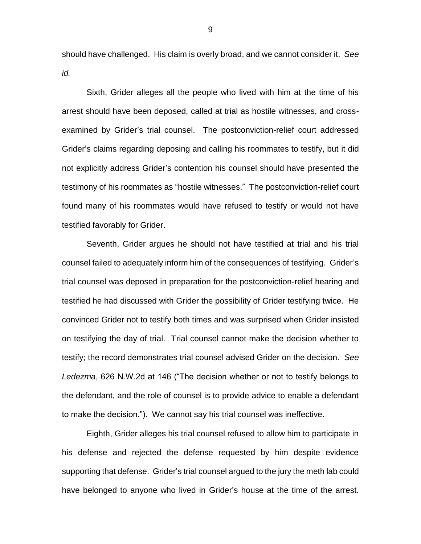should have challenged. His claim is overly broad, and we cannot consider it. *See id.* 

Sixth, Grider alleges all the people who lived with him at the time of his arrest should have been deposed, called at trial as hostile witnesses, and crossexamined by Grider's trial counsel. The postconviction-relief court addressed Grider's claims regarding deposing and calling his roommates to testify, but it did not explicitly address Grider's contention his counsel should have presented the testimony of his roommates as "hostile witnesses." The postconviction-relief court found many of his roommates would have refused to testify or would not have testified favorably for Grider.

Seventh, Grider argues he should not have testified at trial and his trial counsel failed to adequately inform him of the consequences of testifying. Grider's trial counsel was deposed in preparation for the postconviction-relief hearing and testified he had discussed with Grider the possibility of Grider testifying twice. He convinced Grider not to testify both times and was surprised when Grider insisted on testifying the day of trial. Trial counsel cannot make the decision whether to testify; the record demonstrates trial counsel advised Grider on the decision. *See Ledezma*, 626 N.W.2d at 146 ("The decision whether or not to testify belongs to the defendant, and the role of counsel is to provide advice to enable a defendant to make the decision."). We cannot say his trial counsel was ineffective.

Eighth, Grider alleges his trial counsel refused to allow him to participate in his defense and rejected the defense requested by him despite evidence supporting that defense. Grider's trial counsel argued to the jury the meth lab could have belonged to anyone who lived in Grider's house at the time of the arrest.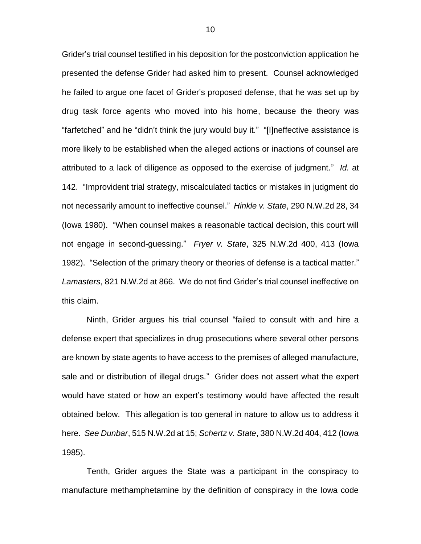Grider's trial counsel testified in his deposition for the postconviction application he presented the defense Grider had asked him to present. Counsel acknowledged he failed to argue one facet of Grider's proposed defense, that he was set up by drug task force agents who moved into his home, because the theory was "farfetched" and he "didn't think the jury would buy it." "[I]neffective assistance is more likely to be established when the alleged actions or inactions of counsel are attributed to a lack of diligence as opposed to the exercise of judgment." *Id.* at 142. "Improvident trial strategy, miscalculated tactics or mistakes in judgment do not necessarily amount to ineffective counsel." *Hinkle v. State*, 290 N.W.2d 28, 34 (Iowa 1980). "When counsel makes a reasonable tactical decision, this court will not engage in second-guessing." *Fryer v. State*, 325 N.W.2d 400, 413 (Iowa 1982). "Selection of the primary theory or theories of defense is a tactical matter." *Lamasters*, 821 N.W.2d at 866. We do not find Grider's trial counsel ineffective on this claim.

Ninth, Grider argues his trial counsel "failed to consult with and hire a defense expert that specializes in drug prosecutions where several other persons are known by state agents to have access to the premises of alleged manufacture, sale and or distribution of illegal drugs." Grider does not assert what the expert would have stated or how an expert's testimony would have affected the result obtained below. This allegation is too general in nature to allow us to address it here. *See Dunbar*, 515 N.W.2d at 15; *Schertz v. State*, 380 N.W.2d 404, 412 (Iowa 1985).

Tenth, Grider argues the State was a participant in the conspiracy to manufacture methamphetamine by the definition of conspiracy in the Iowa code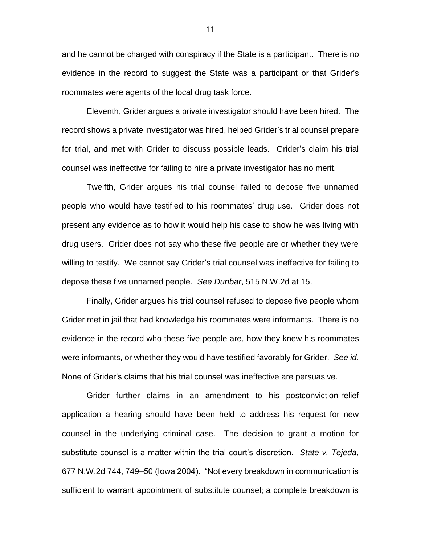and he cannot be charged with conspiracy if the State is a participant. There is no evidence in the record to suggest the State was a participant or that Grider's roommates were agents of the local drug task force.

Eleventh, Grider argues a private investigator should have been hired. The record shows a private investigator was hired, helped Grider's trial counsel prepare for trial, and met with Grider to discuss possible leads. Grider's claim his trial counsel was ineffective for failing to hire a private investigator has no merit.

Twelfth, Grider argues his trial counsel failed to depose five unnamed people who would have testified to his roommates' drug use. Grider does not present any evidence as to how it would help his case to show he was living with drug users. Grider does not say who these five people are or whether they were willing to testify. We cannot say Grider's trial counsel was ineffective for failing to depose these five unnamed people. *See Dunbar*, 515 N.W.2d at 15.

Finally, Grider argues his trial counsel refused to depose five people whom Grider met in jail that had knowledge his roommates were informants. There is no evidence in the record who these five people are, how they knew his roommates were informants, or whether they would have testified favorably for Grider. *See id.*  None of Grider's claims that his trial counsel was ineffective are persuasive.

Grider further claims in an amendment to his postconviction-relief application a hearing should have been held to address his request for new counsel in the underlying criminal case. The decision to grant a motion for substitute counsel is a matter within the trial court's discretion. *State v. Tejeda*, 677 N.W.2d 744, 749–50 (Iowa 2004). "Not every breakdown in communication is sufficient to warrant appointment of substitute counsel; a complete breakdown is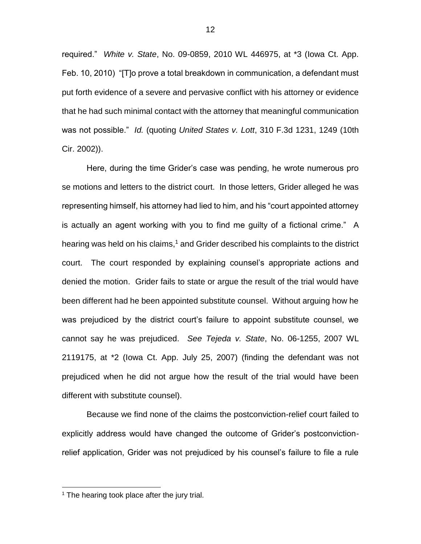required." *White v. State*, No. 09-0859, 2010 WL 446975, at \*3 (Iowa Ct. App. Feb. 10, 2010) "[T]o prove a total breakdown in communication, a defendant must put forth evidence of a severe and pervasive conflict with his attorney or evidence that he had such minimal contact with the attorney that meaningful communication was not possible." *Id.* (quoting *United States v. Lott*, 310 F.3d 1231, 1249 (10th Cir. 2002)).

Here, during the time Grider's case was pending, he wrote numerous pro se motions and letters to the district court. In those letters, Grider alleged he was representing himself, his attorney had lied to him, and his "court appointed attorney is actually an agent working with you to find me guilty of a fictional crime." A hearing was held on his claims,<sup>1</sup> and Grider described his complaints to the district court. The court responded by explaining counsel's appropriate actions and denied the motion. Grider fails to state or argue the result of the trial would have been different had he been appointed substitute counsel. Without arguing how he was prejudiced by the district court's failure to appoint substitute counsel, we cannot say he was prejudiced. *See Tejeda v. State*, No. 06-1255, 2007 WL 2119175, at \*2 (Iowa Ct. App. July 25, 2007) (finding the defendant was not prejudiced when he did not argue how the result of the trial would have been different with substitute counsel).

Because we find none of the claims the postconviction-relief court failed to explicitly address would have changed the outcome of Grider's postconvictionrelief application, Grider was not prejudiced by his counsel's failure to file a rule

 $\overline{a}$ 

 $1$  The hearing took place after the jury trial.